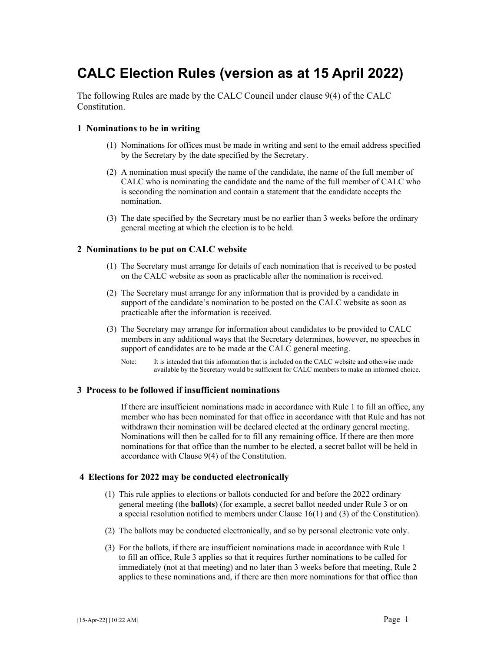# **CALC Election Rules (version as at 15 April 2022)**

The following Rules are made by the CALC Council under clause 9(4) of the CALC Constitution.

#### **1 Nominations to be in writing**

- (1) Nominations for offices must be made in writing and sent to the email address specified by the Secretary by the date specified by the Secretary.
- (2) A nomination must specify the name of the candidate, the name of the full member of CALC who is nominating the candidate and the name of the full member of CALC who is seconding the nomination and contain a statement that the candidate accepts the nomination.
- (3) The date specified by the Secretary must be no earlier than 3 weeks before the ordinary general meeting at which the election is to be held.

## **2 Nominations to be put on CALC website**

- (1) The Secretary must arrange for details of each nomination that is received to be posted on the CALC website as soon as practicable after the nomination is received.
- (2) The Secretary must arrange for any information that is provided by a candidate in support of the candidate's nomination to be posted on the CALC website as soon as practicable after the information is received.
- (3) The Secretary may arrange for information about candidates to be provided to CALC members in any additional ways that the Secretary determines, however, no speeches in support of candidates are to be made at the CALC general meeting.
	- Note: It is intended that this information that is included on the CALC website and otherwise made available by the Secretary would be sufficient for CALC members to make an informed choice.

## **3 Process to be followed if insufficient nominations**

 If there are insufficient nominations made in accordance with Rule 1 to fill an office, any member who has been nominated for that office in accordance with that Rule and has not withdrawn their nomination will be declared elected at the ordinary general meeting. Nominations will then be called for to fill any remaining office. If there are then more nominations for that office than the number to be elected, a secret ballot will be held in accordance with Clause 9(4) of the Constitution.

#### **4 Elections for 2022 may be conducted electronically**

- (1) This rule applies to elections or ballots conducted for and before the 2022 ordinary general meeting (the **ballots**) (for example, a secret ballot needed under Rule 3 or on a special resolution notified to members under Clause 16(1) and (3) of the Constitution).
- (2) The ballots may be conducted electronically, and so by personal electronic vote only.
- (3) For the ballots, if there are insufficient nominations made in accordance with Rule 1 to fill an office, Rule 3 applies so that it requires further nominations to be called for immediately (not at that meeting) and no later than 3 weeks before that meeting, Rule 2 applies to these nominations and, if there are then more nominations for that office than